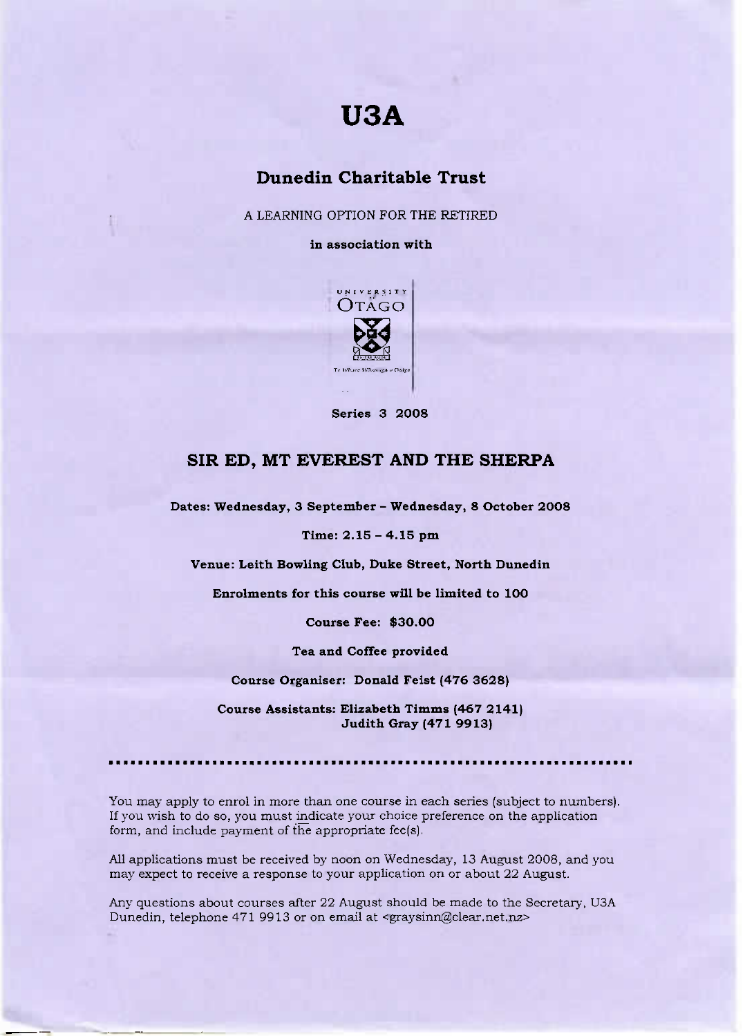# **USA**

## **Dunedin Charitable Trust**

A LEARNING OPTION FOR THE RETIRED

**in association with**



**Series 3 2008**

#### **SIR ED, MT EVEREST AND THE SHERPA**

**Dates: Wednesday, 3 September - Wednesday, 8 October 20O8**

**Time: 2.15 - 4.15 pm**

**Venue:** Leith **Bowling Club, Duke Street, North Dunedin**

**Enrolments for this course will be limited to 1OO**

**Course Fee:** \$30.00

**Tea and Coffee provided**

**Course Organiser: Donald Feist (476 3628)**

**Course Assistants: Elizabeth Timms (467 2141) Judith Gray (471 9913)**

••••••••••••••••••••••••••••••

You may apply to enrol in more than one course in each series (subject to numbers). If you wish to do so, you must indicate your choice preference on the application form, and include payment of the appropriate fee(s).

All applications must be received by noon on Wednesday, 13 August 2008, and you may expect to receive a response to your application on or about 22 August.

Any questions about courses after 22 August should be made to the Secretary, U3A Dunedin, telephone 471 9913 or on email at <graysinn@clear.net.nz>